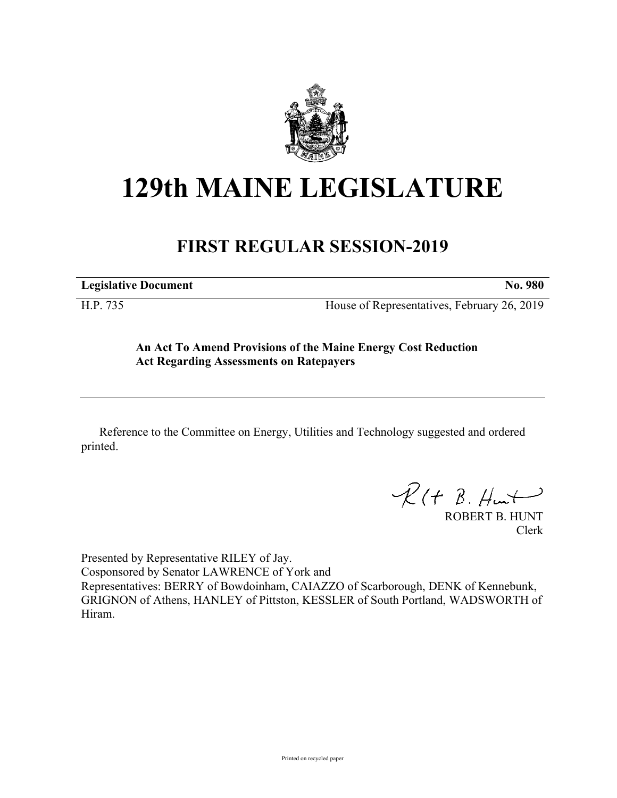

## **129th MAINE LEGISLATURE**

## **FIRST REGULAR SESSION-2019**

**Legislative Document No. 980**

H.P. 735 House of Representatives, February 26, 2019

## **An Act To Amend Provisions of the Maine Energy Cost Reduction Act Regarding Assessments on Ratepayers**

Reference to the Committee on Energy, Utilities and Technology suggested and ordered printed.

 $R(H B. H<sub>un</sub>+)$ 

ROBERT B. HUNT Clerk

Presented by Representative RILEY of Jay. Cosponsored by Senator LAWRENCE of York and Representatives: BERRY of Bowdoinham, CAIAZZO of Scarborough, DENK of Kennebunk, GRIGNON of Athens, HANLEY of Pittston, KESSLER of South Portland, WADSWORTH of Hiram.